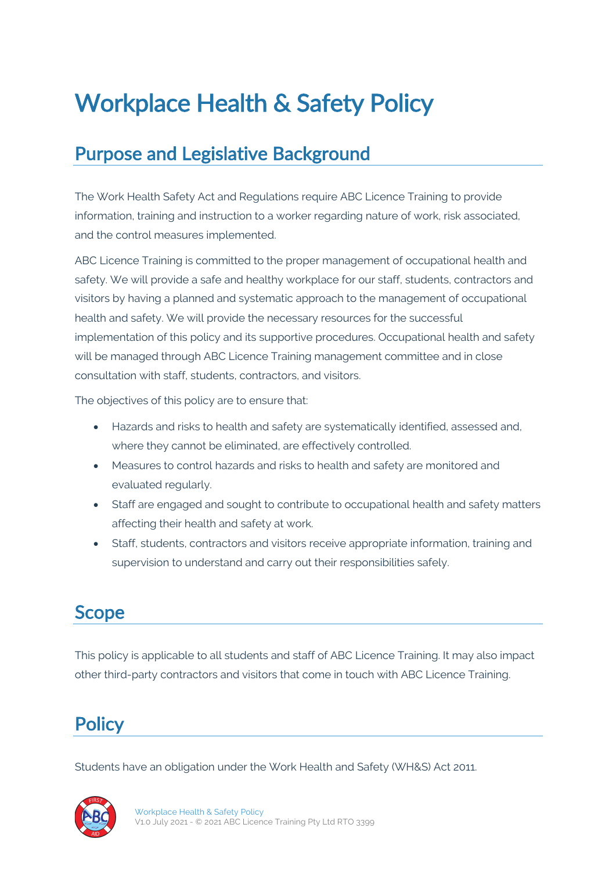# Workplace Health & Safety Policy

## Purpose and Legislative Background

The Work Health Safety Act and Regulations require ABC Licence Training to provide information, training and instruction to a worker regarding nature of work, risk associated, and the control measures implemented.

ABC Licence Training is committed to the proper management of occupational health and safety. We will provide a safe and healthy workplace for our staff, students, contractors and visitors by having a planned and systematic approach to the management of occupational health and safety. We will provide the necessary resources for the successful implementation of this policy and its supportive procedures. Occupational health and safety will be managed through ABC Licence Training management committee and in close consultation with staff, students, contractors, and visitors.

The objectives of this policy are to ensure that:

- Hazards and risks to health and safety are systematically identified, assessed and, where they cannot be eliminated, are effectively controlled.
- Measures to control hazards and risks to health and safety are monitored and evaluated regularly.
- Staff are engaged and sought to contribute to occupational health and safety matters affecting their health and safety at work.
- Staff, students, contractors and visitors receive appropriate information, training and supervision to understand and carry out their responsibilities safely.

### Scope

This policy is applicable to all students and staff of ABC Licence Training. It may also impact other third-party contractors and visitors that come in touch with ABC Licence Training.

### **Policy**

Students have an obligation under the Work Health and Safety (WH&S) Act 2011.

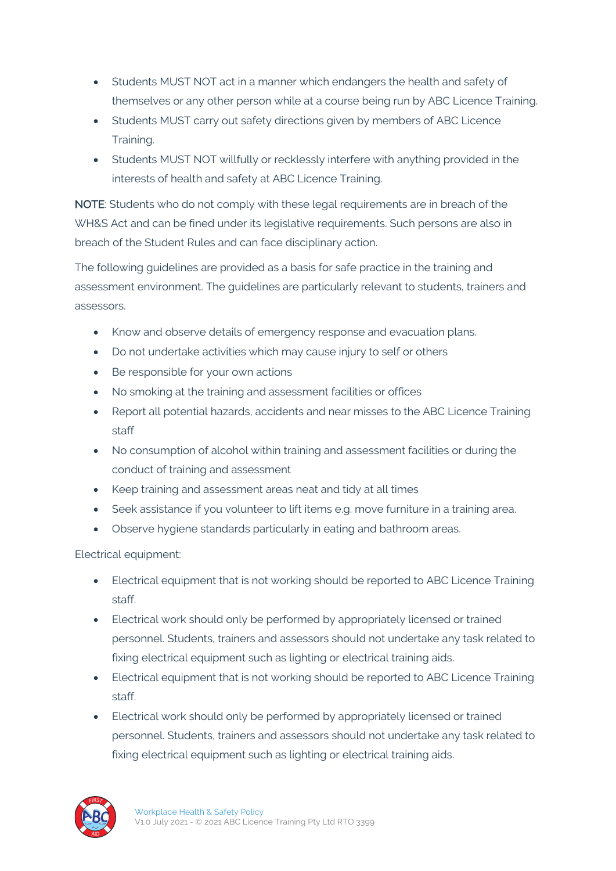- Students MUST NOT act in a manner which endangers the health and safety of themselves or any other person while at a course being run by ABC Licence Training.
- Students MUST carry out safety directions given by members of ABC Licence Training.
- Students MUST NOT willfully or recklessly interfere with anything provided in the interests of health and safety at ABC Licence Training.

NOTE: Students who do not comply with these legal requirements are in breach of the WH&S Act and can be fined under its legislative requirements. Such persons are also in breach of the Student Rules and can face disciplinary action.

The following guidelines are provided as a basis for safe practice in the training and assessment environment. The guidelines are particularly relevant to students, trainers and assessors.

- Know and observe details of emergency response and evacuation plans.
- Do not undertake activities which may cause injury to self or others
- Be responsible for your own actions
- No smoking at the training and assessment facilities or offices
- Report all potential hazards, accidents and near misses to the ABC Licence Training staff
- No consumption of alcohol within training and assessment facilities or during the conduct of training and assessment
- Keep training and assessment areas neat and tidy at all times
- Seek assistance if you volunteer to lift items e.g. move furniture in a training area.
- Observe hygiene standards particularly in eating and bathroom areas.

Electrical equipment:

- Electrical equipment that is not working should be reported to ABC Licence Training staff.
- Electrical work should only be performed by appropriately licensed or trained personnel. Students, trainers and assessors should not undertake any task related to fixing electrical equipment such as lighting or electrical training aids.
- Electrical equipment that is not working should be reported to ABC Licence Training staff.
- Electrical work should only be performed by appropriately licensed or trained personnel. Students, trainers and assessors should not undertake any task related to fixing electrical equipment such as lighting or electrical training aids.

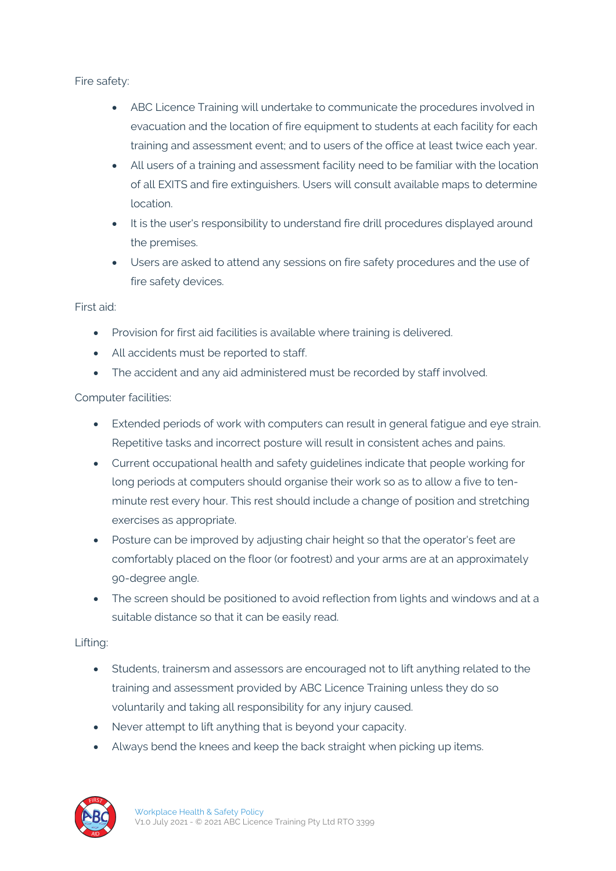Fire safety:

- ABC Licence Training will undertake to communicate the procedures involved in evacuation and the location of fire equipment to students at each facility for each training and assessment event; and to users of the office at least twice each year.
- All users of a training and assessment facility need to be familiar with the location of all EXITS and fire extinguishers. Users will consult available maps to determine location.
- It is the user's responsibility to understand fire drill procedures displayed around the premises.
- Users are asked to attend any sessions on fire safety procedures and the use of fire safety devices.

#### First aid:

- Provision for first aid facilities is available where training is delivered.
- All accidents must be reported to staff.
- The accident and any aid administered must be recorded by staff involved.

#### Computer facilities:

- Extended periods of work with computers can result in general fatigue and eye strain. Repetitive tasks and incorrect posture will result in consistent aches and pains.
- Current occupational health and safety guidelines indicate that people working for long periods at computers should organise their work so as to allow a five to tenminute rest every hour. This rest should include a change of position and stretching exercises as appropriate.
- Posture can be improved by adjusting chair height so that the operator's feet are comfortably placed on the floor (or footrest) and your arms are at an approximately 90-degree angle.
- The screen should be positioned to avoid reflection from lights and windows and at a suitable distance so that it can be easily read.

#### Lifting:

- Students, trainersm and assessors are encouraged not to lift anything related to the training and assessment provided by ABC Licence Training unless they do so voluntarily and taking all responsibility for any injury caused.
- Never attempt to lift anything that is beyond your capacity.
- Always bend the knees and keep the back straight when picking up items.

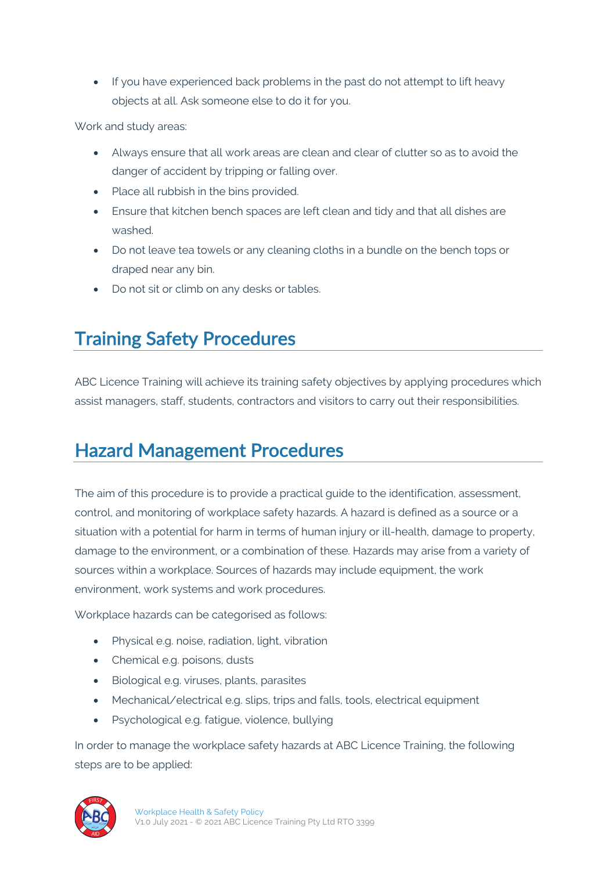• If you have experienced back problems in the past do not attempt to lift heavy objects at all. Ask someone else to do it for you.

Work and study areas:

- Always ensure that all work areas are clean and clear of clutter so as to avoid the danger of accident by tripping or falling over.
- Place all rubbish in the bins provided.
- Ensure that kitchen bench spaces are left clean and tidy and that all dishes are washed.
- Do not leave tea towels or any cleaning cloths in a bundle on the bench tops or draped near any bin.
- Do not sit or climb on any desks or tables.

# Training Safety Procedures

ABC Licence Training will achieve its training safety objectives by applying procedures which assist managers, staff, students, contractors and visitors to carry out their responsibilities.

## Hazard Management Procedures

The aim of this procedure is to provide a practical guide to the identification, assessment, control, and monitoring of workplace safety hazards. A hazard is defined as a source or a situation with a potential for harm in terms of human injury or ill-health, damage to property, damage to the environment, or a combination of these. Hazards may arise from a variety of sources within a workplace. Sources of hazards may include equipment, the work environment, work systems and work procedures.

Workplace hazards can be categorised as follows:

- Physical e.g. noise, radiation, light, vibration
- Chemical e.g. poisons, dusts
- Biological e.g. viruses, plants, parasites
- Mechanical/electrical e.g. slips, trips and falls, tools, electrical equipment
- Psychological e.g. fatigue, violence, bullying

In order to manage the workplace safety hazards at ABC Licence Training, the following steps are to be applied:

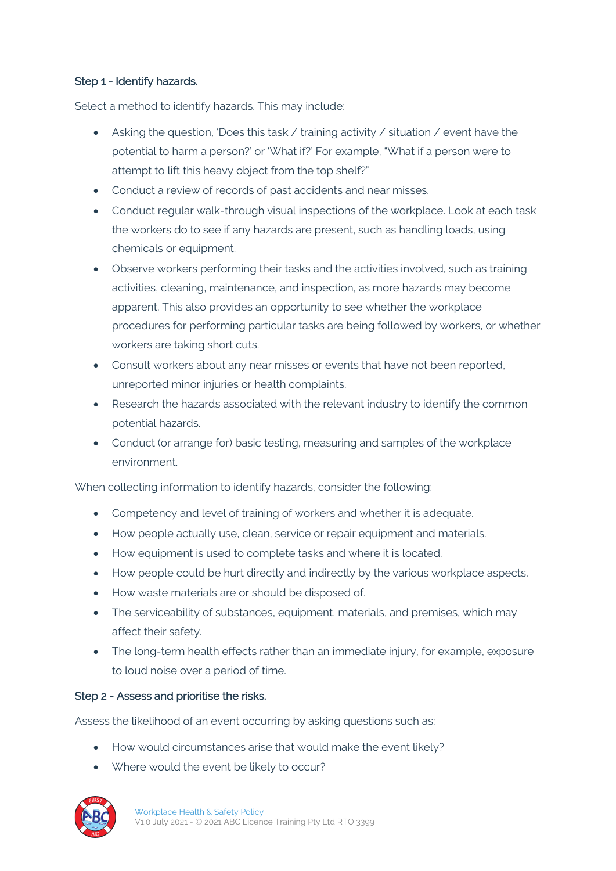#### Step 1 - Identify hazards.

Select a method to identify hazards. This may include:

- Asking the question, 'Does this task  $\ell$  training activity  $\ell$  situation  $\ell$  event have the potential to harm a person?' or 'What if?' For example, "What if a person were to attempt to lift this heavy object from the top shelf?"
- Conduct a review of records of past accidents and near misses.
- Conduct regular walk-through visual inspections of the workplace. Look at each task the workers do to see if any hazards are present, such as handling loads, using chemicals or equipment.
- Observe workers performing their tasks and the activities involved, such as training activities, cleaning, maintenance, and inspection, as more hazards may become apparent. This also provides an opportunity to see whether the workplace procedures for performing particular tasks are being followed by workers, or whether workers are taking short cuts.
- Consult workers about any near misses or events that have not been reported, unreported minor injuries or health complaints.
- Research the hazards associated with the relevant industry to identify the common potential hazards.
- Conduct (or arrange for) basic testing, measuring and samples of the workplace environment.

When collecting information to identify hazards, consider the following:

- Competency and level of training of workers and whether it is adequate.
- How people actually use, clean, service or repair equipment and materials.
- How equipment is used to complete tasks and where it is located.
- How people could be hurt directly and indirectly by the various workplace aspects.
- How waste materials are or should be disposed of.
- The serviceability of substances, equipment, materials, and premises, which may affect their safety.
- The long-term health effects rather than an immediate injury, for example, exposure to loud noise over a period of time.

#### Step 2 - Assess and prioritise the risks.

Assess the likelihood of an event occurring by asking questions such as:

- How would circumstances arise that would make the event likely?
- Where would the event be likely to occur?

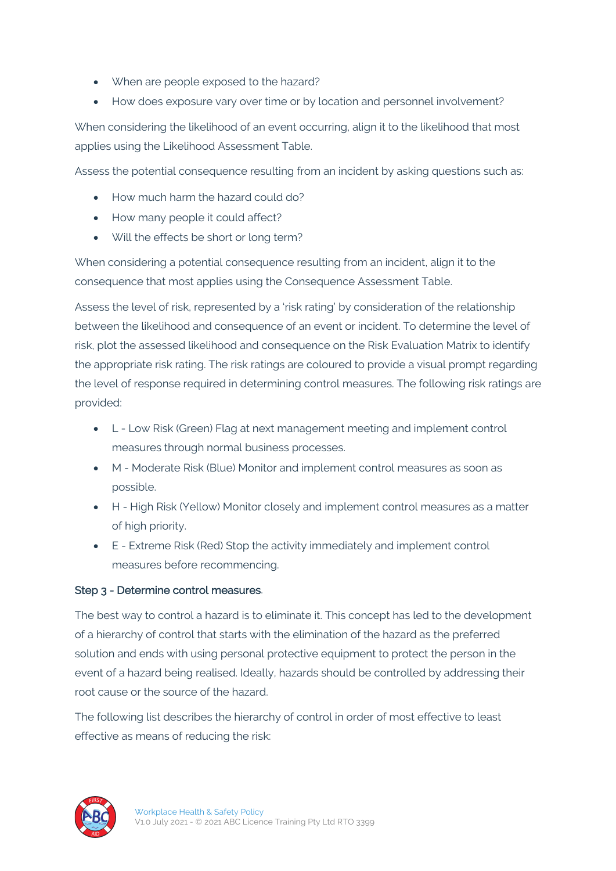- When are people exposed to the hazard?
- How does exposure vary over time or by location and personnel involvement?

When considering the likelihood of an event occurring, align it to the likelihood that most applies using the Likelihood Assessment Table.

Assess the potential consequence resulting from an incident by asking questions such as:

- How much harm the hazard could do?
- How many people it could affect?
- Will the effects be short or long term?

When considering a potential consequence resulting from an incident, align it to the consequence that most applies using the Consequence Assessment Table.

Assess the level of risk, represented by a 'risk rating' by consideration of the relationship between the likelihood and consequence of an event or incident. To determine the level of risk, plot the assessed likelihood and consequence on the Risk Evaluation Matrix to identify the appropriate risk rating. The risk ratings are coloured to provide a visual prompt regarding the level of response required in determining control measures. The following risk ratings are provided:

- L Low Risk (Green) Flag at next management meeting and implement control measures through normal business processes.
- M Moderate Risk (Blue) Monitor and implement control measures as soon as possible.
- H High Risk (Yellow) Monitor closely and implement control measures as a matter of high priority.
- E Extreme Risk (Red) Stop the activity immediately and implement control measures before recommencing.

#### Step 3 - Determine control measures.

The best way to control a hazard is to eliminate it. This concept has led to the development of a hierarchy of control that starts with the elimination of the hazard as the preferred solution and ends with using personal protective equipment to protect the person in the event of a hazard being realised. Ideally, hazards should be controlled by addressing their root cause or the source of the hazard.

The following list describes the hierarchy of control in order of most effective to least effective as means of reducing the risk:

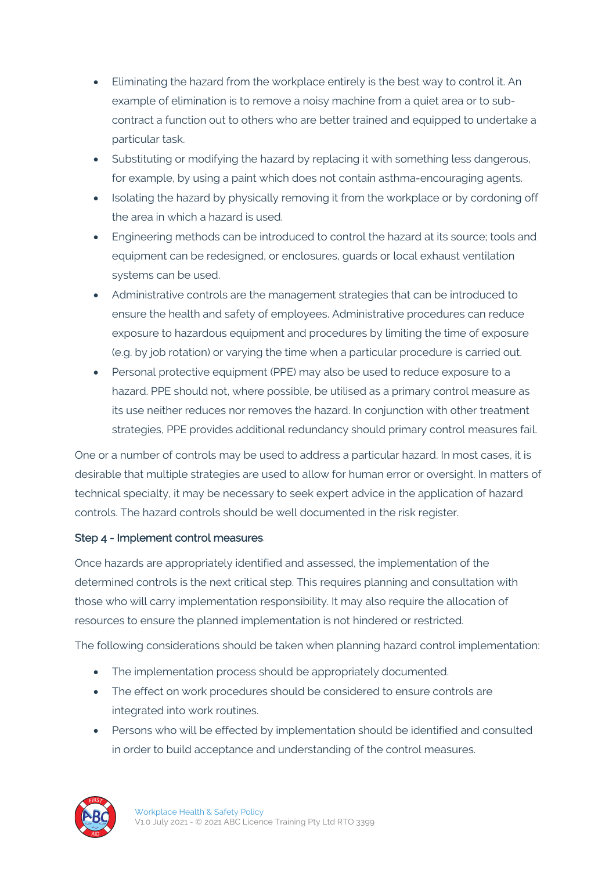- Eliminating the hazard from the workplace entirely is the best way to control it. An example of elimination is to remove a noisy machine from a quiet area or to subcontract a function out to others who are better trained and equipped to undertake a particular task.
- Substituting or modifying the hazard by replacing it with something less dangerous, for example, by using a paint which does not contain asthma-encouraging agents.
- Isolating the hazard by physically removing it from the workplace or by cordoning off the area in which a hazard is used.
- Engineering methods can be introduced to control the hazard at its source; tools and equipment can be redesigned, or enclosures, guards or local exhaust ventilation systems can be used.
- Administrative controls are the management strategies that can be introduced to ensure the health and safety of employees. Administrative procedures can reduce exposure to hazardous equipment and procedures by limiting the time of exposure (e.g. by job rotation) or varying the time when a particular procedure is carried out.
- Personal protective equipment (PPE) may also be used to reduce exposure to a hazard. PPE should not, where possible, be utilised as a primary control measure as its use neither reduces nor removes the hazard. In conjunction with other treatment strategies, PPE provides additional redundancy should primary control measures fail.

One or a number of controls may be used to address a particular hazard. In most cases, it is desirable that multiple strategies are used to allow for human error or oversight. In matters of technical specialty, it may be necessary to seek expert advice in the application of hazard controls. The hazard controls should be well documented in the risk register.

#### Step 4 - Implement control measures.

Once hazards are appropriately identified and assessed, the implementation of the determined controls is the next critical step. This requires planning and consultation with those who will carry implementation responsibility. It may also require the allocation of resources to ensure the planned implementation is not hindered or restricted.

The following considerations should be taken when planning hazard control implementation:

- The implementation process should be appropriately documented.
- The effect on work procedures should be considered to ensure controls are integrated into work routines.
- Persons who will be effected by implementation should be identified and consulted in order to build acceptance and understanding of the control measures.

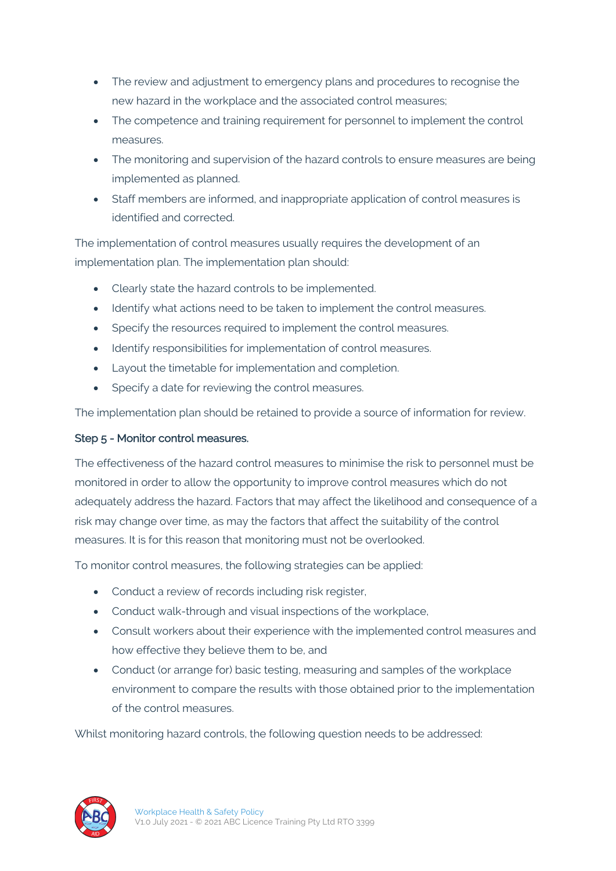- The review and adjustment to emergency plans and procedures to recognise the new hazard in the workplace and the associated control measures;
- The competence and training requirement for personnel to implement the control measures.
- The monitoring and supervision of the hazard controls to ensure measures are being implemented as planned.
- Staff members are informed, and inappropriate application of control measures is identified and corrected.

The implementation of control measures usually requires the development of an implementation plan. The implementation plan should:

- Clearly state the hazard controls to be implemented.
- Identify what actions need to be taken to implement the control measures.
- Specify the resources required to implement the control measures.
- Identify responsibilities for implementation of control measures.
- Layout the timetable for implementation and completion.
- Specify a date for reviewing the control measures.

The implementation plan should be retained to provide a source of information for review.

#### Step 5 - Monitor control measures.

The effectiveness of the hazard control measures to minimise the risk to personnel must be monitored in order to allow the opportunity to improve control measures which do not adequately address the hazard. Factors that may affect the likelihood and consequence of a risk may change over time, as may the factors that affect the suitability of the control measures. It is for this reason that monitoring must not be overlooked.

To monitor control measures, the following strategies can be applied:

- Conduct a review of records including risk register,
- Conduct walk-through and visual inspections of the workplace,
- Consult workers about their experience with the implemented control measures and how effective they believe them to be, and
- Conduct (or arrange for) basic testing, measuring and samples of the workplace environment to compare the results with those obtained prior to the implementation of the control measures.

Whilst monitoring hazard controls, the following question needs to be addressed:

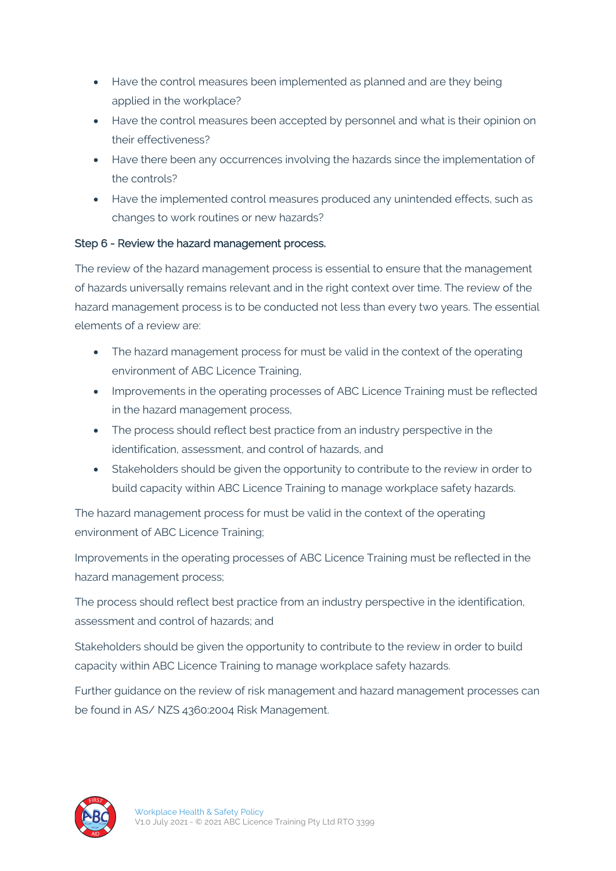- Have the control measures been implemented as planned and are they being applied in the workplace?
- Have the control measures been accepted by personnel and what is their opinion on their effectiveness?
- Have there been any occurrences involving the hazards since the implementation of the controls?
- Have the implemented control measures produced any unintended effects, such as changes to work routines or new hazards?

#### Step 6 - Review the hazard management process.

The review of the hazard management process is essential to ensure that the management of hazards universally remains relevant and in the right context over time. The review of the hazard management process is to be conducted not less than every two years. The essential elements of a review are:

- The hazard management process for must be valid in the context of the operating environment of ABC Licence Training,
- Improvements in the operating processes of ABC Licence Training must be reflected in the hazard management process,
- The process should reflect best practice from an industry perspective in the identification, assessment, and control of hazards, and
- Stakeholders should be given the opportunity to contribute to the review in order to build capacity within ABC Licence Training to manage workplace safety hazards.

The hazard management process for must be valid in the context of the operating environment of ABC Licence Training;

Improvements in the operating processes of ABC Licence Training must be reflected in the hazard management process;

The process should reflect best practice from an industry perspective in the identification, assessment and control of hazards; and

Stakeholders should be given the opportunity to contribute to the review in order to build capacity within ABC Licence Training to manage workplace safety hazards.

Further guidance on the review of risk management and hazard management processes can be found in AS/ NZS 4360:2004 Risk Management.

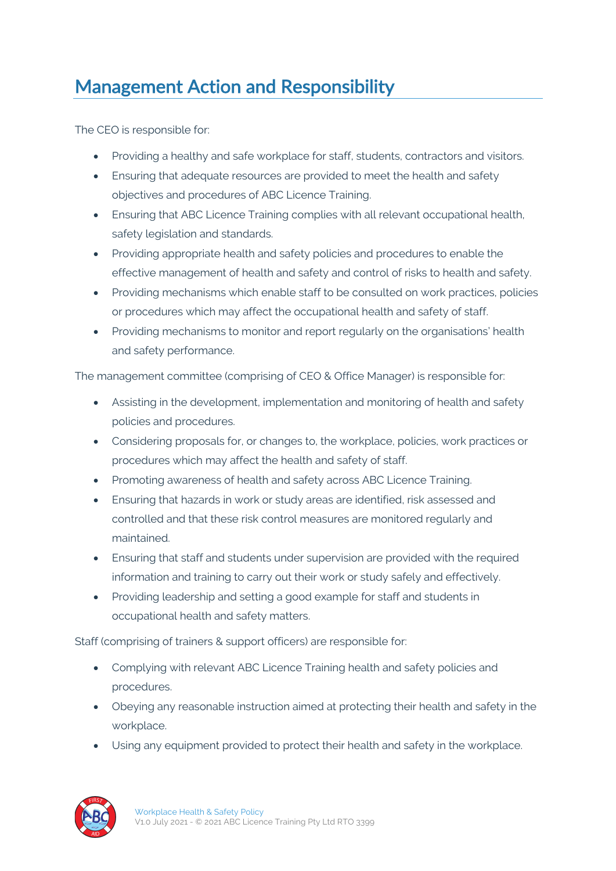# Management Action and Responsibility

The CEO is responsible for:

- Providing a healthy and safe workplace for staff, students, contractors and visitors.
- Ensuring that adequate resources are provided to meet the health and safety objectives and procedures of ABC Licence Training.
- Ensuring that ABC Licence Training complies with all relevant occupational health, safety legislation and standards.
- Providing appropriate health and safety policies and procedures to enable the effective management of health and safety and control of risks to health and safety.
- Providing mechanisms which enable staff to be consulted on work practices, policies or procedures which may affect the occupational health and safety of staff.
- Providing mechanisms to monitor and report regularly on the organisations' health and safety performance.

The management committee (comprising of CEO & Office Manager) is responsible for:

- Assisting in the development, implementation and monitoring of health and safety policies and procedures.
- Considering proposals for, or changes to, the workplace, policies, work practices or procedures which may affect the health and safety of staff.
- Promoting awareness of health and safety across ABC Licence Training.
- Ensuring that hazards in work or study areas are identified, risk assessed and controlled and that these risk control measures are monitored regularly and maintained.
- Ensuring that staff and students under supervision are provided with the required information and training to carry out their work or study safely and effectively.
- Providing leadership and setting a good example for staff and students in occupational health and safety matters.

Staff (comprising of trainers & support officers) are responsible for:

- Complying with relevant ABC Licence Training health and safety policies and procedures.
- Obeying any reasonable instruction aimed at protecting their health and safety in the workplace.
- Using any equipment provided to protect their health and safety in the workplace.